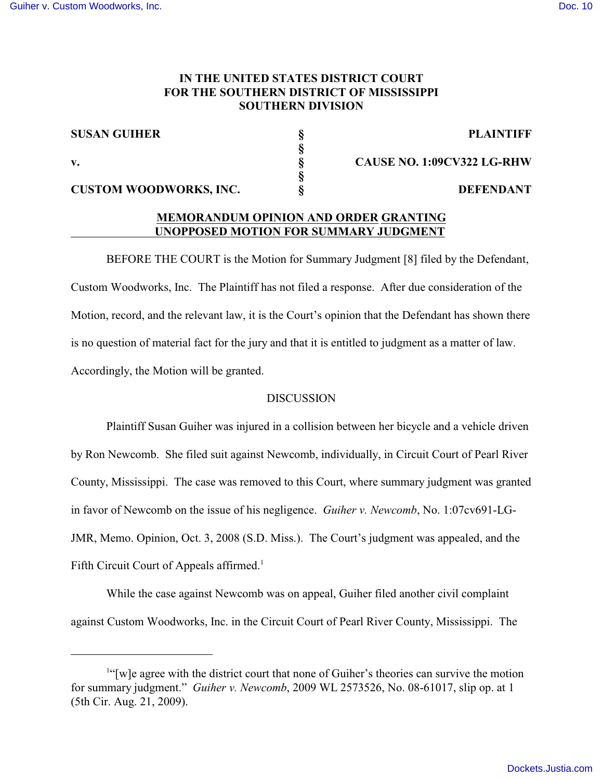## **IN THE UNITED STATES DISTRICT COURT FOR THE SOUTHERN DISTRICT OF MISSISSIPPI SOUTHERN DIVISION**

**§**

**§**

## **SUSAN GUIHER § PLAINTIFF**

**CUSTOM WOODWORKS, INC. § DEFENDANT**

**v. § CAUSE NO. 1:09CV322 LG-RHW**

# **MEMORANDUM OPINION AND ORDER GRANTING UNOPPOSED MOTION FOR SUMMARY JUDGMENT**

BEFORE THE COURT is the Motion for Summary Judgment [8] filed by the Defendant, Custom Woodworks, Inc. The Plaintiff has not filed a response. After due consideration of the Motion, record, and the relevant law, it is the Court's opinion that the Defendant has shown there is no question of material fact for the jury and that it is entitled to judgment as a matter of law. Accordingly, the Motion will be granted.

## DISCUSSION

Plaintiff Susan Guiher was injured in a collision between her bicycle and a vehicle driven by Ron Newcomb. She filed suit against Newcomb, individually, in Circuit Court of Pearl River County, Mississippi. The case was removed to this Court, where summary judgment was granted in favor of Newcomb on the issue of his negligence. *Guiher v. Newcomb*, No. 1:07cv691-LG-JMR, Memo. Opinion, Oct. 3, 2008 (S.D. Miss.). The Court's judgment was appealed, and the Fifth Circuit Court of Appeals affirmed.<sup>1</sup>

While the case against Newcomb was on appeal, Guiher filed another civil complaint against Custom Woodworks, Inc. in the Circuit Court of Pearl River County, Mississippi. The

 $<sup>1</sup>$ "[w]e agree with the district court that none of Guiher's theories can survive the motion</sup> for summary judgment." *Guiher v. Newcomb*, 2009 WL 2573526, No. 08-61017, slip op. at 1 (5th Cir. Aug. 21, 2009).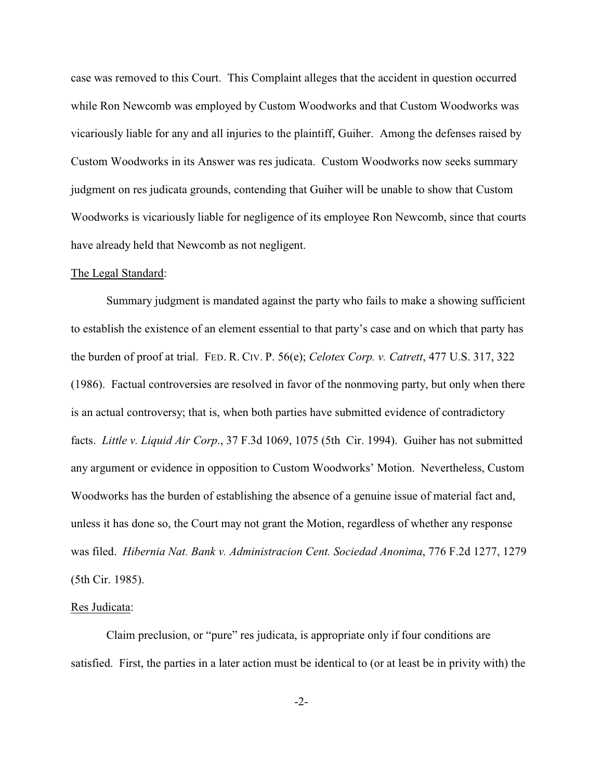case was removed to this Court. This Complaint alleges that the accident in question occurred while Ron Newcomb was employed by Custom Woodworks and that Custom Woodworks was vicariously liable for any and all injuries to the plaintiff, Guiher. Among the defenses raised by Custom Woodworks in its Answer was res judicata. Custom Woodworks now seeks summary judgment on res judicata grounds, contending that Guiher will be unable to show that Custom Woodworks is vicariously liable for negligence of its employee Ron Newcomb, since that courts have already held that Newcomb as not negligent.

#### The Legal Standard:

Summary judgment is mandated against the party who fails to make a showing sufficient to establish the existence of an element essential to that party's case and on which that party has the burden of proof at trial. FED. R. CIV. P. 56(e); *Celotex Corp. v. Catrett*, 477 U.S. 317, 322 (1986). Factual controversies are resolved in favor of the nonmoving party, but only when there is an actual controversy; that is, when both parties have submitted evidence of contradictory facts. *Little v. Liquid Air Corp*., 37 F.3d 1069, 1075 (5th Cir. 1994). Guiher has not submitted any argument or evidence in opposition to Custom Woodworks' Motion. Nevertheless, Custom Woodworks has the burden of establishing the absence of a genuine issue of material fact and, unless it has done so, the Court may not grant the Motion, regardless of whether any response was filed. *Hibernia Nat. Bank v. Administracion Cent. Sociedad Anonima*, 776 F.2d 1277, 1279 (5th Cir. 1985).

#### Res Judicata:

Claim preclusion, or "pure" res judicata, is appropriate only if four conditions are satisfied. First, the parties in a later action must be identical to (or at least be in privity with) the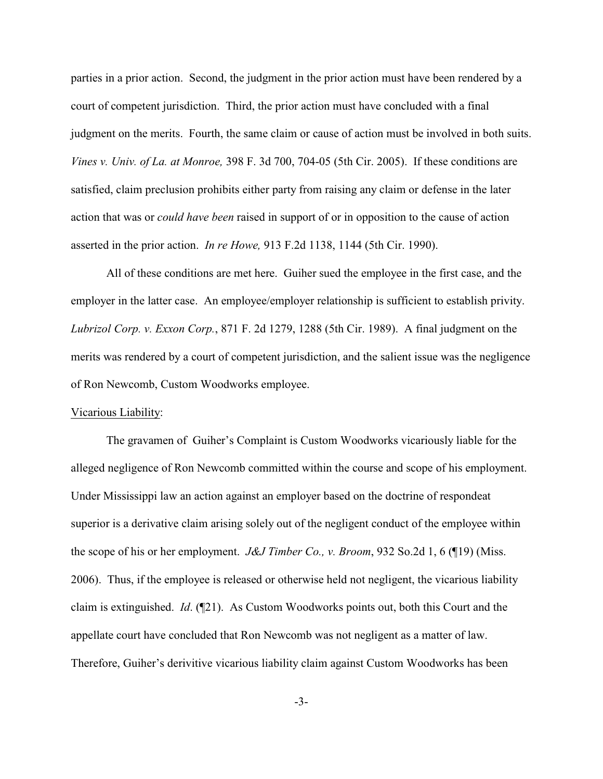parties in a prior action. Second, the judgment in the prior action must have been rendered by a court of competent jurisdiction. Third, the prior action must have concluded with a final judgment on the merits. Fourth, the same claim or cause of action must be involved in both suits. *Vines v. Univ. of La. at Monroe,* 398 F. 3d 700, 704-05 (5th Cir. 2005). If these conditions are satisfied, claim preclusion prohibits either party from raising any claim or defense in the later action that was or *could have been* raised in support of or in opposition to the cause of action asserted in the prior action. *In re Howe,* 913 F.2d 1138, 1144 (5th Cir. 1990).

All of these conditions are met here. Guiher sued the employee in the first case, and the employer in the latter case. An employee/employer relationship is sufficient to establish privity. *Lubrizol Corp. v. Exxon Corp.*, 871 F. 2d 1279, 1288 (5th Cir. 1989). A final judgment on the merits was rendered by a court of competent jurisdiction, and the salient issue was the negligence of Ron Newcomb, Custom Woodworks employee.

### Vicarious Liability:

The gravamen of Guiher's Complaint is Custom Woodworks vicariously liable for the alleged negligence of Ron Newcomb committed within the course and scope of his employment. Under Mississippi law an action against an employer based on the doctrine of respondeat superior is a derivative claim arising solely out of the negligent conduct of the employee within the scope of his or her employment. *J&J Timber Co., v. Broom*, 932 So.2d 1, 6 (¶19) (Miss. 2006). Thus, if the employee is released or otherwise held not negligent, the vicarious liability claim is extinguished. *Id*. (¶21). As Custom Woodworks points out, both this Court and the appellate court have concluded that Ron Newcomb was not negligent as a matter of law. Therefore, Guiher's derivitive vicarious liability claim against Custom Woodworks has been

-3-